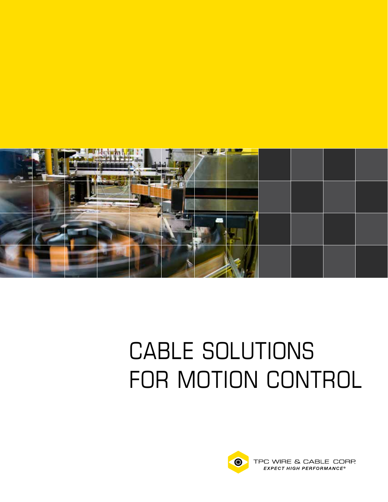

# CABLE SOLUTIONS FOR MOTION CONTROL



TPC WIRE & CABLE CORP. EXPECT HIGH PERFORMANCE®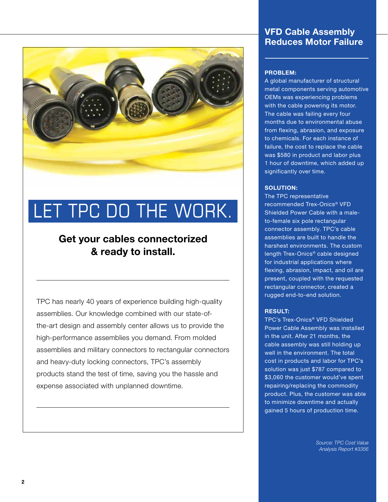

# LET TPC DO THE WORK.

## Get your cables connectorized & ready to install.

TPC has nearly 40 years of experience building high-quality assemblies. Our knowledge combined with our state-ofthe-art design and assembly center allows us to provide the high-performance assemblies you demand. From molded assemblies and military connectors to rectangular connectors and heavy-duty locking connectors, TPC's assembly products stand the test of time, saving you the hassle and expense associated with unplanned downtime.

### VFD Cable Assembly Reduces Motor Failure

#### PROBLEM:

A global manufacturer of structural metal components serving automotive OEMs was experiencing problems with the cable powering its motor. The cable was failing every four months due to environmental abuse from flexing, abrasion, and exposure to chemicals. For each instance of failure, the cost to replace the cable was \$580 in product and labor plus 1 hour of downtime, which added up significantly over time.

#### SOLUTION:

The TPC representative recommended Trex-Onics® VFD Shielded Power Cable with a maleto-female six pole rectangular connector assembly. TPC's cable assemblies are built to handle the harshest environments. The custom length Trex-Onics® cable designed for industrial applications where flexing, abrasion, impact, and oil are present, coupled with the requested rectangular connector, created a rugged end-to-end solution.

#### RESULT:

TPC's Trex-Onics® VFD Shielded Power Cable Assembly was installed in the unit. After 21 months, the cable assembly was still holding up well in the environment. The total cost in products and labor for TPC's solution was just \$787 compared to \$3,060 the customer would've spent repairing/replacing the commodity product. Plus, the customer was able to minimize downtime and actually gained 5 hours of production time.

> *Source: TPC Cost Value Analysis Report #3356*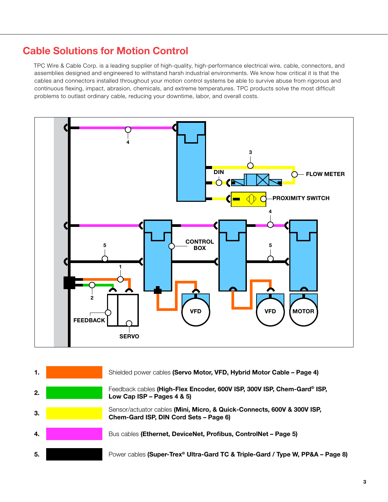## Cable Solutions for Motion Control

TPC Wire & Cable Corp. is a leading supplier of high-quality, high-performance electrical wire, cable, connectors, and assemblies designed and engineered to withstand harsh industrial environments. We know how critical it is that the cables and connectors installed throughout your motion control systems be able to survive abuse from rigorous and continuous flexing, impact, abrasion, chemicals, and extreme temperatures. TPC products solve the most difficult problems to outlast ordinary cable, reducing your downtime, labor, and overall costs.



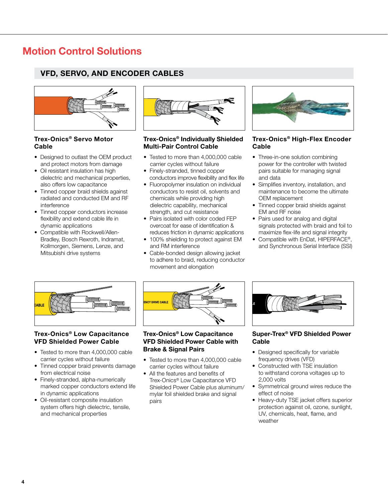### VFD, SERVO, AND ENCODER CABLES



#### Trex-Onics® Servo Motor Cable

- Designed to outlast the OEM product and protect motors from damage
- Oil resistant insulation has high dielectric and mechanical properties, also offers low capacitance
- Tinned copper braid shields against radiated and conducted EM and RF interference
- Tinned copper conductors increase flexibility and extend cable life in dynamic applications
- Compatible with Rockwell/Allen- Bradley, Bosch Rexroth, Indramat, Kollmorgen, Siemens, Lenze, and Mitsubishi drive systems



#### Trex-Onics® Individually Shielded Multi-Pair Control Cable

- Tested to more than 4,000,000 cable carrier cycles without failure
- Finely-stranded, tinned copper conductors improve flexibility and flex life
- Fluoropolymer insulation on individual conductors to resist oil, solvents and chemicals while providing high dielectric capability, mechanical strength, and cut resistance
- Pairs isolated with color coded FEP overcoat for ease of identification & reduces friction in dynamic applications
- 100% shielding to protect against EM and RM interference
- Cable-bonded design allowing jacket to adhere to braid, reducing conductor movement and elongation



#### Trex-Onics® High-Flex Encoder Cable

- Three-in-one solution combining power for the controller with twisted pairs suitable for managing signal and data
- Simplifies inventory, installation, and maintenance to become the ultimate OEM replacement
- Tinned copper braid shields against EM and RF noise
- Pairs used for analog and digital signals protected with braid and foil to maximize flex-life and signal integrity
- Compatible with EnDat, HIPERFACE®, and Synchronous Serial Interface (SSI)



#### Trex-Onics® Low Capacitance VFD Shielded Power Cable

- Tested to more than 4,000,000 cable carrier cycles without failure
- Tinned copper braid prevents damage from electrical noise
- Finely-stranded, alpha-numerically marked copper conductors extend life in dynamic applications
- Oil-resistant composite insulation system offers high dielectric, tensile, and mechanical properties



#### Trex-Onics® Low Capacitance VFD Shielded Power Cable with Brake & Signal Pairs

- Tested to more than 4,000,000 cable carrier cycles without failure
- All the features and benefits of Trex-Onics® Low Capacitance VFD Shielded Power Cable plus aluminum/ mylar foil shielded brake and signal pairs



#### Super-Trex® VFD Shielded Power **Cable**

- Designed specifically for variable frequency drives (VFD)
- Constructed with TSE insulation to withstand corona voltages up to 2,000 volts
- Symmetrical ground wires reduce the effect of noise
- Heavy-duty TSE jacket offers superior protection against oil, ozone, sunlight, UV, chemicals, heat, flame, and weather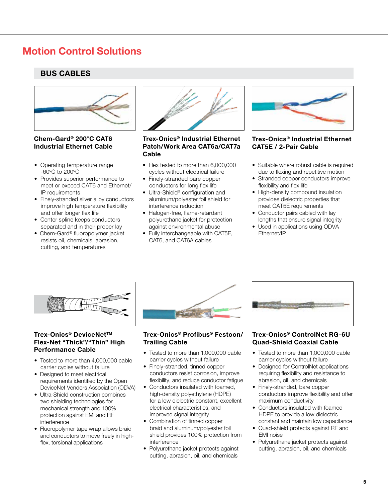#### BUS CABLES



#### Chem-Gard® 200°C CAT6 Industrial Ethernet Cable

- Operating temperature range -60ºC to 200ºC
- Provides superior performance to meet or exceed CAT6 and Ethernet/ IP requirements
- Finely-stranded silver alloy conductors improve high temperature flexibility and offer longer flex life
- Center spline keeps conductors separated and in their proper lay
- Chem-Gard® fluoropolymer jacket resists oil, chemicals, abrasion, cutting, and temperatures



#### Trex-Onics® Industrial Ethernet Patch/Work Area CAT6a/CAT7a Cable

- Flex tested to more than 6,000,000 cycles without electrical failure
- Finely-stranded bare copper conductors for long flex life
- Ultra-Shield<sup>®</sup> configuration and aluminum/polyester foil shield for interference reduction
- Halogen-free, flame-retardant polyurethane jacket for protection against environmental abuse
- Fully interchangeable with CAT5E, CAT6, and CAT6A cables



#### Trex-Onics® Industrial Ethernet CAT5E / 2-Pair Cable

- Suitable where robust cable is required due to flexing and repetitive motion
- Stranded copper conductors improve flexibility and flex life
- High-density compound insulation provides dielectric properties that meet CAT5E requirements
- Conductor pairs cabled with lay lengths that ensure signal integrity
- Used in applications using ODVA Ethernet/IP



#### Trex-Onics® DeviceNet™ Flex-Net "Thick"/"Thin" High **Performance Cable** • Tested to more than 1,000,000 cable

- Tested to more than 4,000,000 cable carrier cycles without failure
- Designed to meet electrical requirements identified by the Open DeviceNet Vendors Association (ODVA)
- Ultra-Shield construction combines two shielding technologies for mechanical strength and 100% protection against EMI and RF interference
- Fluoropolymer tape wrap allows braid and conductors to move freely in high flex, torsional applications



#### Trex-Onics® Profibus® Festoon/ Trailing Cable

- carrier cycles without failure
- Finely-stranded, tinned copper conductors resist corrosion, improve flexibility, and reduce conductor fatigue
- Conductors insulated with foamed, high-density polyethylene (HDPE) for a low dielectric constant, excellent electrical characteristics, and improved signal integrity
- Combination of tinned copper braid and aluminum/polyester foil shield provides 100% protection from interference
- Polyurethane jacket protects against cutting, abrasion, oil, and chemicals



#### Trex-Onics® ControlNet RG-6U Quad-Shield Coaxial Cable

- Tested to more than 1,000,000 cable carrier cycles without failure
- Designed for ControlNet applications requiring flexibility and resistance to abrasion, oil, and chemicals
- Finely-stranded, bare copper conductors improve flexibility and offer maximum conductivity
- Conductors insulated with foamed HDPE to provide a low dielectric constant and maintain low capacitance
- Quad-shield protects against RF and EMI noise
- Polyurethane jacket protects against cutting, abrasion, oil, and chemicals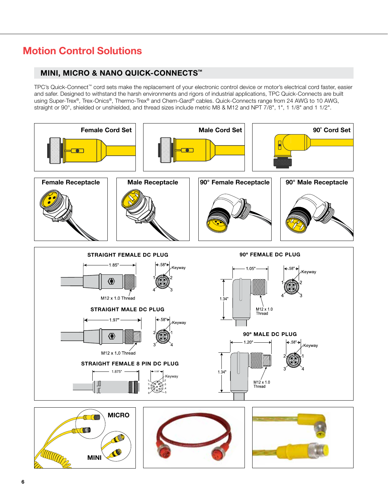#### MINI, MICRO & NANO QUICK-CONNECTS™

TPC's Quick-Connect™ cord sets make the replacement of your electronic control device or motor's electrical cord faster, easier and safer. Designed to withstand the harsh environments and rigors of industrial applications, TPC Quick-Connects are built using Super-Trex®, Trex-Onics®, Thermo-Trex® and Chem-Gard® cables. Quick-Connects range from 24 AWG to 10 AWG, straight or 90°, shielded or unshielded, and thread sizes include metric M8 & M12 and NPT 7/8", 1", 1 1/8" and 1 1/2".





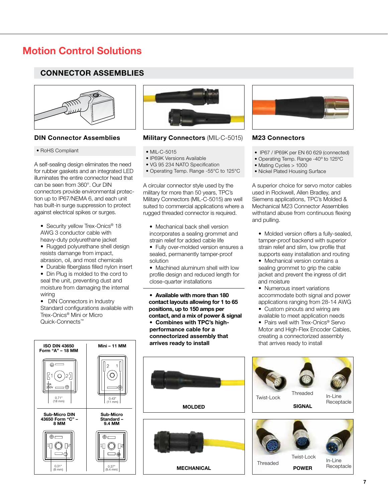#### CONNECTOR ASSEMBLIES



#### • RoHS Compliant

A self-sealing design eliminates the need for rubber gaskets and an integrated LED illuminates the entire connector head that can be seen from 360°. Our DIN connectors provide environmental protection up to IP67/NEMA 6, and each unit has built-in surge suppression to protect against electrical spikes or surges.

• Security yellow Trex-Onics<sup>®</sup> 18 AWG 3 conductor cable with heavy-duty polyurethane jacket

 • Rugged polyurethane shell design resists damange from impact, abrasion, oil, and most chemicals

• Durable fiberglass filled nylon insert

 • Din Plug is molded to the cord to seal the unit, preventing dust and moisture from damaging the internal wiring

 • DIN Connectors in Industry Standard configurations available with Trex-Onics® Mini or Micro Quick-Connects™



#### DIN Connector Assemblies Military Connectors (MIL-C-5015) M23 Connectors

#### • MIL-C-5015

 $\overline{a}$ 

- IP69K Versions Available
- VG 95 234 NATO Specification
- Operating Temp. Range -55°C to 125°C

A circular connector style used by the military for more than 50 years, TPC's Military Connectors (MIL-C-5015) are well suited to commercial applications where a rugged threaded connector is required.

- Mechanical back shell version incorporates a sealing grommet and strain relief for added cable life
- Fully over-molded version ensures a sealed, permanently tamper-proof solution
- Machined aluminum shell with low profile design and reduced length for close-quarter installations

 • Available with more than 180 contact layouts allowing for 1 to 65 positions, up to 150 amps per contact, and a mix of power & signal

 • Combines with TPC's high performance cable for a connectorized assembly that arrives ready to install



- IP67 / IP69K per EN 60 629 (connected)
- Operating Temp. Range -40º to 125ºC
- Mating Cycles > 1000
- Nickel Plated Housing Surface

A superior choice for servo motor cables used in Rockwell, Allen Bradley, and Siemens applications, TPC's Molded & Mechanical M23 Connector Assemblies withstand abuse from continuous flexing and pulling.

 • Molded version offers a fully-sealed, tamper-proof backend with superior strain relief and slim, low profile that supports easy installation and routing

 • Mechanical version contains a sealing grommet to grip the cable jacket and prevent the ingress of dirt and moisture

 • Numerous insert variations accommodate both signal and power applications ranging from 28-14 AWG

 • Custom pinouts and wiring are available to meet application needs

• Pairs well with Trex-Onics<sup>®</sup> Servo Motor and High-Flex Encoder Cables, creating a connectorized assembly that arrives ready to install

> In-Line **Receptacle**







Threaded

Twist-Lock